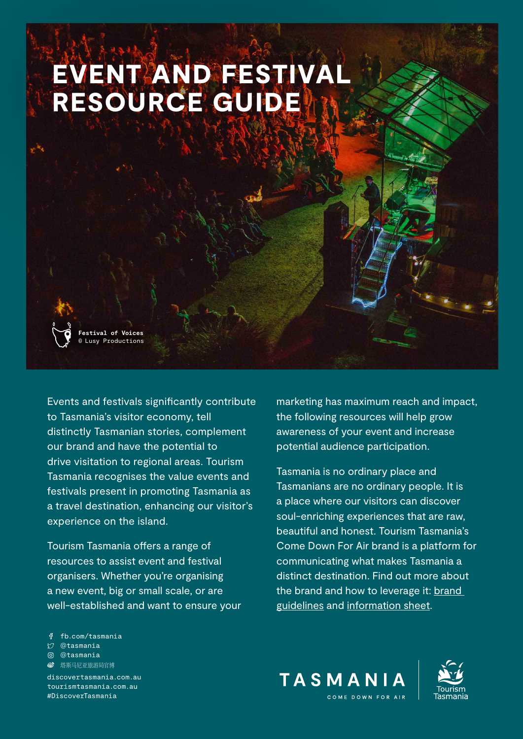# EVENT AND FESTIVAL RESOURCE GUIDE

**Festival of Voices** Lusy Productions

Events and festivals significantly contribute to Tasmania's visitor economy, tell distinctly Tasmanian stories, complement our brand and have the potential to drive visitation to regional areas. Tourism Tasmania recognises the value events and festivals present in promoting Tasmania as a travel destination, enhancing our visitor's experience on the island.

Tourism Tasmania offers a range of resources to assist event and festival organisers. Whether you're organising a new event, big or small scale, or are well-established and want to ensure your marketing has maximum reach and impact, the following resources will help grow awareness of your event and increase potential audience participation.

Tasmania is no ordinary place and Tasmanians are no ordinary people. It is a place where our visitors can discover soul-enriching experiences that are raw, beautiful and honest. Tourism Tasmania's Come Down For Air brand is a platform for communicating what makes Tasmania a distinct destination. Find out more about the brand and how to leverage it: [brand](https://www.tourismtasmania.com.au/__data/assets/pdf_file/0009/102105/BRAND-GUIDELINES-INDUSTRY-2021.pdf)  [guidelines](https://www.tourismtasmania.com.au/__data/assets/pdf_file/0009/102105/BRAND-GUIDELINES-INDUSTRY-2021.pdf) and [information sheet.](https://www.tourismtasmania.com.au/__data/assets/pdf_file/0004/95575/Brand-Information-Sheet.pdf)

fb.com/tasmania

- *@tasmania*
- @tasmania
- **<sup>6</sup>** 塔斯马尼亚旅游局官博

[discovertasmania.com.au](http://discovertasmania.com.au) tourismtasmania.com.au #DiscoverTasmania

TASMANIA COME DOWN FOR ALE

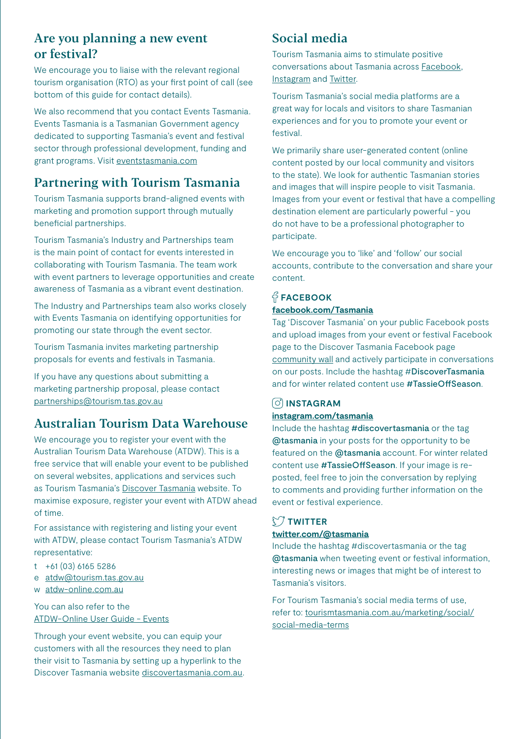## Are you planning a new event or festival?

We encourage you to liaise with the relevant regional tourism organisation (RTO) as your first point of call (see bottom of this guide for contact details).

We also recommend that you contact Events Tasmania. Events Tasmania is a Tasmanian Government agency dedicated to supporting Tasmania's event and festival sector through professional development, funding and grant programs. Visit [eventstasmania.com](http://www.eventstasmania.com)

## Partnering with Tourism Tasmania

Tourism Tasmania supports brand-aligned events with marketing and promotion support through mutually beneficial partnerships.

Tourism Tasmania's Industry and Partnerships team is the main point of contact for events interested in collaborating with Tourism Tasmania. The team work with event partners to leverage opportunities and create awareness of Tasmania as a vibrant event destination.

The Industry and Partnerships team also works closely with Events Tasmania on identifying opportunities for promoting our state through the event sector.

Tourism Tasmania invites marketing partnership proposals for events and festivals in Tasmania.

If you have any questions about submitting a marketing partnership proposal, please contact [partnerships@tourism.tas.gov.au](mailto:partnerships@tourism.tas.gov.au)

# Australian Tourism Data Warehouse

We encourage you to register your event with the Australian Tourism Data Warehouse (ATDW). This is a free service that will enable your event to be published on several websites, applications and services such as Tourism Tasmania's [Discover Tasmania](https://www.discovertasmania.com.au/what-to-do/events) website. To maximise exposure, register your event with ATDW ahead of time.

For assistance with registering and listing your event with ATDW, please contact Tourism Tasmania's ATDW representative:

- t +61 (03) 6165 5286
- e [atdw@tourism.tas.gov.au](mailto:atdw@tourism.tas.gov.au)
- w [atdw-online.com.au](http://www.atdw-online.com.au)

You can also refer to the [ATDW-Online User Guide - Events](https://www.tourismtasmania.com.au/__data/assets/pdf_file/0004/86638/Events-ATDW-User-Guide-2019.pdf)

Through your event website, you can equip your customers with all the resources they need to plan their visit to Tasmania by setting up a hyperlink to the Discover Tasmania website [discovertasmania.com.au](http://www.discovertasmania.com.au).

## Social media

Tourism Tasmania aims to stimulate positive conversations about Tasmania across [Facebook,](https://www.facebook.com/Tasmania/) [Instagram](https://www.instagram.com/tasmania/?hl=en) and [Twitter](https://twitter.com/Tasmania/).

Tourism Tasmania's social media platforms are a great way for locals and visitors to share Tasmanian experiences and for you to promote your event or festival.

We primarily share user-generated content (online content posted by our local community and visitors to the state). We look for authentic Tasmanian stories and images that will inspire people to visit Tasmania. Images from your event or festival that have a compelling destination element are particularly powerful - you do not have to be a professional photographer to participate.

We encourage you to 'like' and 'follow' our social accounts, contribute to the conversation and share your content.

## **FACEBOOK [facebook.com/Tasmania](https://www.facebook.com/Tasmania)**

Tag 'Discover Tasmania' on your public Facebook posts and upload images from your event or festival Facebook page to the Discover Tasmania Facebook page [community wall](https://www.facebook.com/pg/Tasmania/community/) and actively participate in conversations on our posts. Include the hashtag #DiscoverTasmania and for winter related content use #TassieOffSeason.

## **INSTAGRAM [instagram.com/tasmania](https://www.instagram.com/tasmania/)**

Include the hashtag #discovertasmania or the tag @tasmania in your posts for the opportunity to be featured on the @tasmania account. For winter related content use #TassieOffSeason. If your image is reposted, feel free to join the conversation by replying to comments and providing further information on the event or festival experience.

### **TWITTER**

#### **[twitter.com/@tasmania](https://twitter.com/@tasmania)**

Include the hashtag #discovertasmania or the tag @tasmania when tweeting event or festival information, interesting news or images that might be of interest to Tasmania's visitors.

For Tourism Tasmania's social media terms of use, refer to: [tourismtasmania.com.au/marketing/social/](http://www.tourismtasmania.com.au/marketing/social/social-media-terms) [social-media-terms](http://www.tourismtasmania.com.au/marketing/social/social-media-terms)